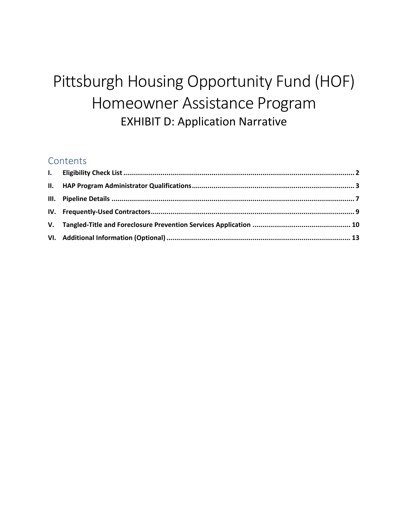# Pittsburgh Housing Opportunity Fund (HOF) Homeowner Assistance Program EXHIBIT D: Application Narrative

#### **Contents**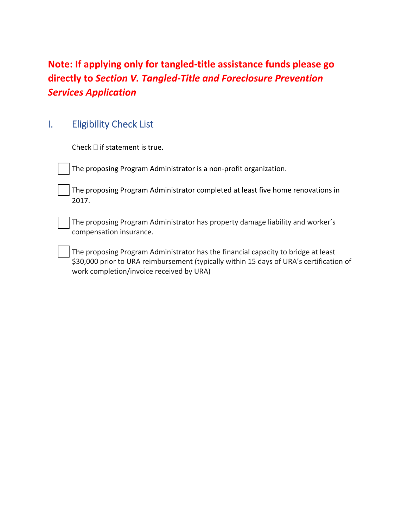# **Note: If applying only for tangled‐title assistance funds please go directly to** *Section V. Tangled‐Title and Foreclosure Prevention Services Application*

#### I. Eligibility Check List

Check  $\Box$  if statement is true.

The proposing Program Administrator is a non‐profit organization.

 The proposing Program Administrator completed at least five home renovations in 2017.

 The proposing Program Administrator has property damage liability and worker's compensation insurance.

 The proposing Program Administrator has the financial capacity to bridge at least \$30,000 prior to URA reimbursement (typically within 15 days of URA's certification of work completion/invoice received by URA)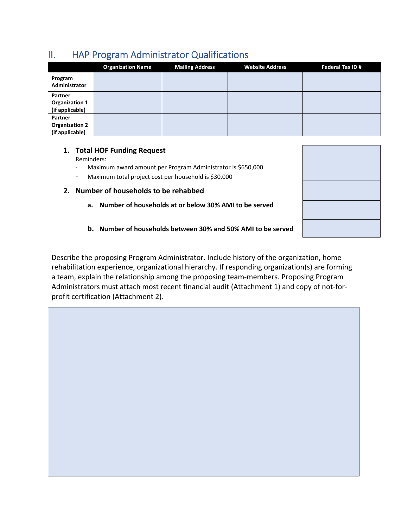|                       | <b>Organization Name</b> | <b>Mailing Address</b> | <b>Website Address</b> | <b>Federal Tax ID#</b> |
|-----------------------|--------------------------|------------------------|------------------------|------------------------|
|                       |                          |                        |                        |                        |
| Program               |                          |                        |                        |                        |
| Administrator         |                          |                        |                        |                        |
| Partner               |                          |                        |                        |                        |
| <b>Organization 1</b> |                          |                        |                        |                        |
| (if applicable)       |                          |                        |                        |                        |
| Partner               |                          |                        |                        |                        |
| <b>Organization 2</b> |                          |                        |                        |                        |
| (if applicable)       |                          |                        |                        |                        |

#### II. HAP Program Administrator Qualifications

#### **1. Total HOF Funding Request**

Reminders:

- ‐ Maximum award amount per Program Administrator is \$650,000
- ‐ Maximum total project cost per household is \$30,000
- **2. Number of households to be rehabbed** 
	- **a. Number of households at or below 30% AMI to be served**
	- **b. Number of households between 30% and 50% AMI to be served**

Describe the proposing Program Administrator. Include history of the organization, home rehabilitation experience, organizational hierarchy. If responding organization(s) are forming a team, explain the relationship among the proposing team‐members. Proposing Program Administrators must attach most recent financial audit (Attachment 1) and copy of not‐for‐ profit certification (Attachment 2).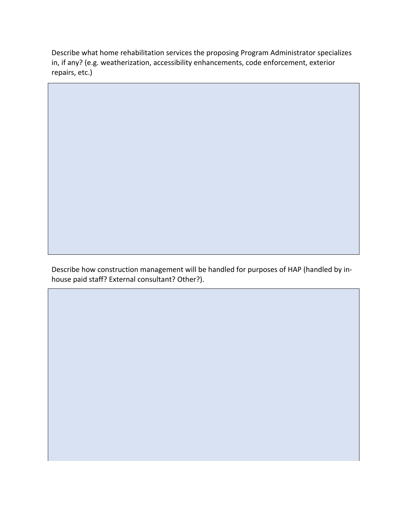Describe what home rehabilitation services the proposing Program Administrator specializes in, if any? (e.g. weatherization, accessibility enhancements, code enforcement, exterior repairs, etc.)

Describe how construction management will be handled for purposes of HAP (handled by in‐ house paid staff? External consultant? Other?).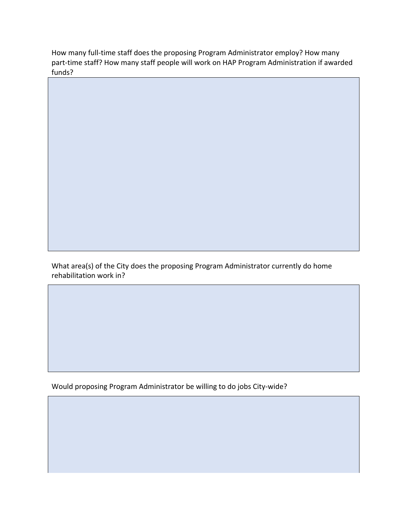How many full-time staff does the proposing Program Administrator employ? How many part-time staff? How many staff people will work on HAP Program Administration if awarded funds?

What area(s) of the City does the proposing Program Administrator currently do home rehabilitation work in?

Would proposing Program Administrator be willing to do jobs City‐wide?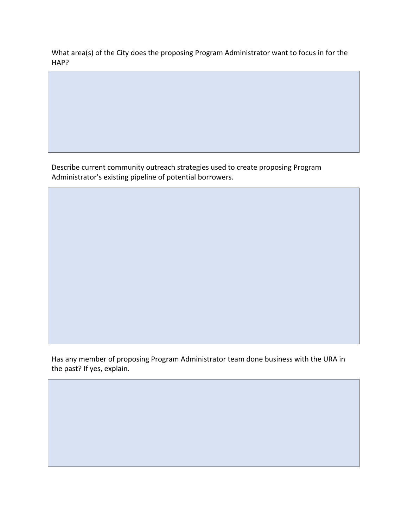What area(s) of the City does the proposing Program Administrator want to focus in for the HAP?

Describe current community outreach strategies used to create proposing Program Administrator's existing pipeline of potential borrowers.

Has any member of proposing Program Administrator team done business with the URA in the past? If yes, explain.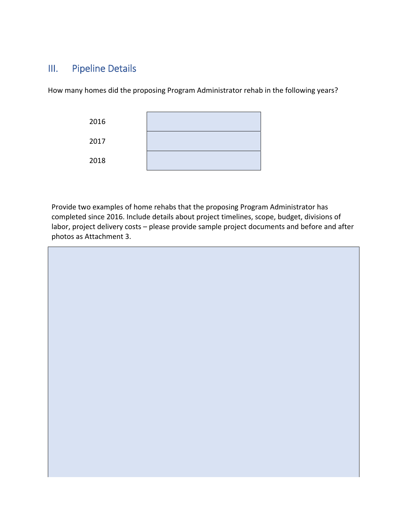#### III. Pipeline Details

How many homes did the proposing Program Administrator rehab in the following years?

| 2016 |  |
|------|--|
| 2017 |  |
| 2018 |  |

Provide two examples of home rehabs that the proposing Program Administrator has completed since 2016. Include details about project timelines, scope, budget, divisions of labor, project delivery costs – please provide sample project documents and before and after photos as Attachment 3.

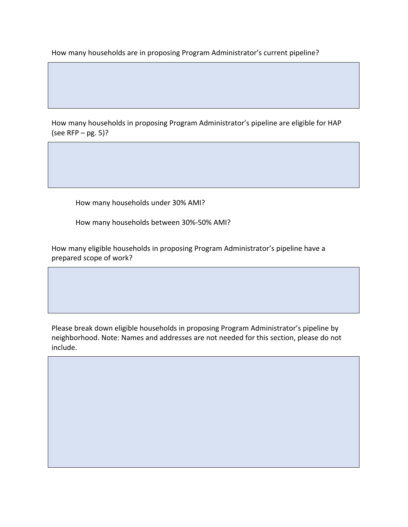How many households are in proposing Program Administrator's current pipeline?

How many households in proposing Program Administrator's pipeline are eligible for HAP (see RFP – pg. 5)?

How many households under 30% AMI?

How many households between 30%‐50% AMI?

How many eligible households in proposing Program Administrator's pipeline have a prepared scope of work?

Please break down eligible households in proposing Program Administrator's pipeline by neighborhood. Note: Names and addresses are not needed for this section, please do not include.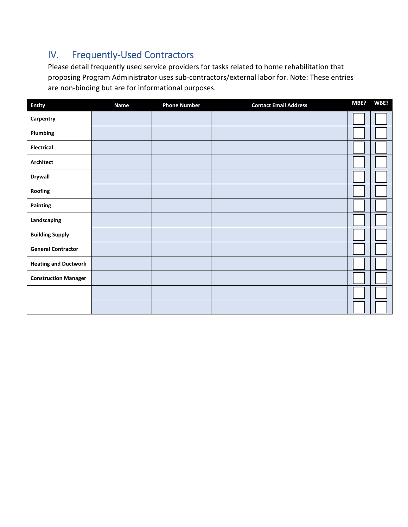## IV. Frequently‐Used Contractors

Please detail frequently used service providers for tasks related to home rehabilitation that proposing Program Administrator uses sub‐contractors/external labor for. Note: These entries are non‐binding but are for informational purposes.

| <b>Entity</b>               | Name | <b>Phone Number</b> | <b>Contact Email Address</b> | MBE? | WBE? |
|-----------------------------|------|---------------------|------------------------------|------|------|
| Carpentry                   |      |                     |                              |      |      |
| Plumbing                    |      |                     |                              |      |      |
| Electrical                  |      |                     |                              |      |      |
| <b>Architect</b>            |      |                     |                              |      |      |
| <b>Drywall</b>              |      |                     |                              |      |      |
| Roofing                     |      |                     |                              |      |      |
| Painting                    |      |                     |                              |      |      |
| Landscaping                 |      |                     |                              |      |      |
| <b>Building Supply</b>      |      |                     |                              |      |      |
| <b>General Contractor</b>   |      |                     |                              |      |      |
| <b>Heating and Ductwork</b> |      |                     |                              |      |      |
| <b>Construction Manager</b> |      |                     |                              |      |      |
|                             |      |                     |                              |      |      |
|                             |      |                     |                              |      |      |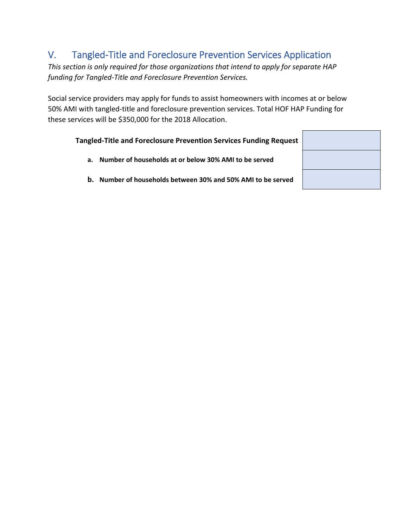### V. Tangled‐Title and Foreclosure Prevention Services Application

*This section is only required for those organizations that intend to apply for separate HAP funding for Tangled‐Title and Foreclosure Prevention Services.*

Social service providers may apply for funds to assist homeowners with incomes at or below 50% AMI with tangled‐title and foreclosure prevention services. Total HOF HAP Funding for these services will be \$350,000 for the 2018 Allocation.

#### **Tangled‐Title and Foreclosure Prevention Services Funding Request**

- **a. Number of households at or below 30% AMI to be served**
- **b. Number of households between 30% and 50% AMI to be served**

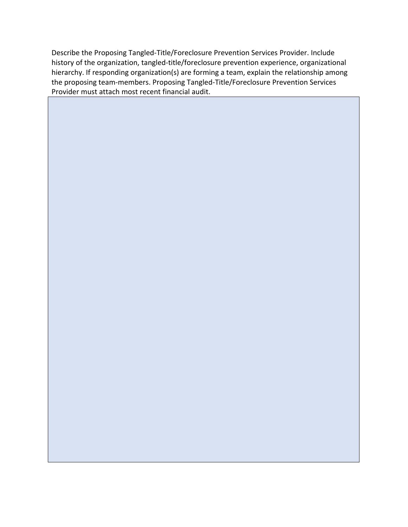Describe the Proposing Tangled‐Title/Foreclosure Prevention Services Provider. Include history of the organization, tangled-title/foreclosure prevention experience, organizational hierarchy. If responding organization(s) are forming a team, explain the relationship among the proposing team‐members. Proposing Tangled‐Title/Foreclosure Prevention Services Provider must attach most recent financial audit.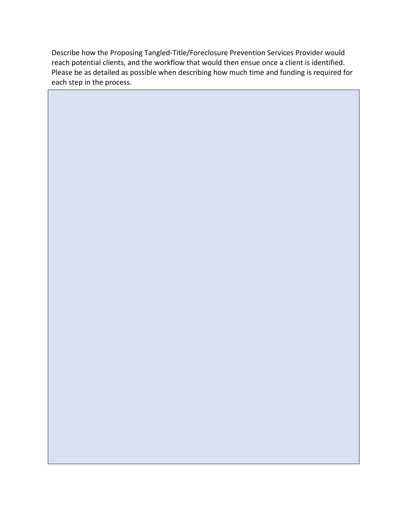Describe how the Proposing Tangled‐Title/Foreclosure Prevention Services Provider would reach potential clients, and the workflow that would then ensue once a client is identified. Please be as detailed as possible when describing how much time and funding is required for each step in the process.